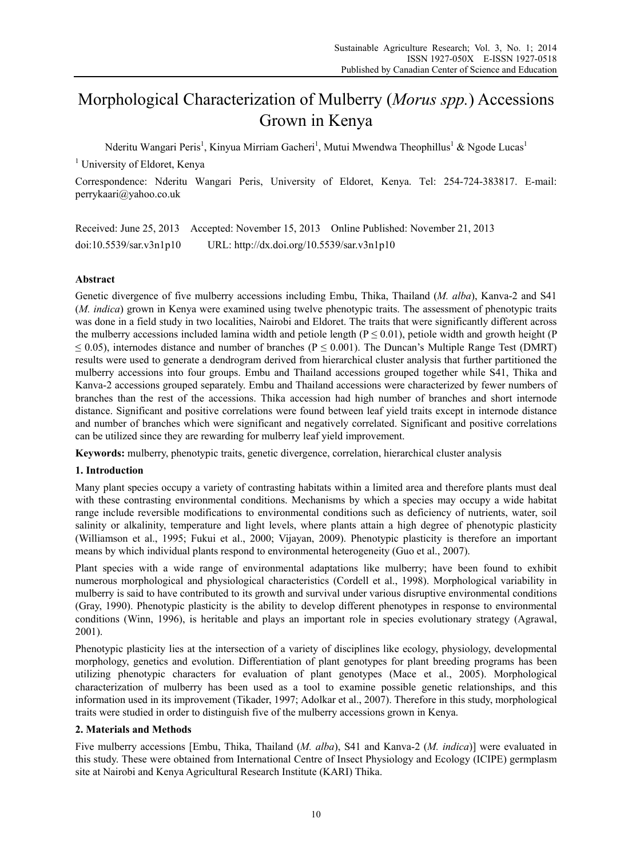# Morphological Characterization of Mulberry (*Morus spp.*) Accessions Grown in Kenya

Nderitu Wangari Peris<sup>1</sup>, Kinyua Mirriam Gacheri<sup>1</sup>, Mutui Mwendwa Theophillus<sup>1</sup> & Ngode Lucas<sup>1</sup>

<sup>1</sup> University of Eldoret, Kenya

Correspondence: Nderitu Wangari Peris, University of Eldoret, Kenya. Tel: 254-724-383817. E-mail: perrykaari@yahoo.co.uk

Received: June 25, 2013 Accepted: November 15, 2013 Online Published: November 21, 2013 doi:10.5539/sar.v3n1p10 URL: http://dx.doi.org/10.5539/sar.v3n1p10

# **Abstract**

Genetic divergence of five mulberry accessions including Embu, Thika, Thailand (*M. alba*), Kanva-2 and S41 (*M. indica*) grown in Kenya were examined using twelve phenotypic traits. The assessment of phenotypic traits was done in a field study in two localities, Nairobi and Eldoret. The traits that were significantly different across the mulberry accessions included lamina width and petiole length ( $P \le 0.01$ ), petiole width and growth height (P  $\leq$  0.05), internodes distance and number of branches (P  $\leq$  0.001). The Duncan's Multiple Range Test (DMRT) results were used to generate a dendrogram derived from hierarchical cluster analysis that further partitioned the mulberry accessions into four groups. Embu and Thailand accessions grouped together while S41, Thika and Kanva-2 accessions grouped separately. Embu and Thailand accessions were characterized by fewer numbers of branches than the rest of the accessions. Thika accession had high number of branches and short internode distance. Significant and positive correlations were found between leaf yield traits except in internode distance and number of branches which were significant and negatively correlated. Significant and positive correlations can be utilized since they are rewarding for mulberry leaf yield improvement.

**Keywords:** mulberry, phenotypic traits, genetic divergence, correlation, hierarchical cluster analysis

# **1. Introduction**

Many plant species occupy a variety of contrasting habitats within a limited area and therefore plants must deal with these contrasting environmental conditions. Mechanisms by which a species may occupy a wide habitat range include reversible modifications to environmental conditions such as deficiency of nutrients, water, soil salinity or alkalinity, temperature and light levels, where plants attain a high degree of phenotypic plasticity (Williamson et al., 1995; Fukui et al., 2000; Vijayan, 2009). Phenotypic plasticity is therefore an important means by which individual plants respond to environmental heterogeneity (Guo et al., 2007).

Plant species with a wide range of environmental adaptations like mulberry; have been found to exhibit numerous morphological and physiological characteristics (Cordell et al., 1998). Morphological variability in mulberry is said to have contributed to its growth and survival under various disruptive environmental conditions (Gray, 1990). Phenotypic plasticity is the ability to develop different phenotypes in response to environmental conditions (Winn, 1996), is heritable and plays an important role in species evolutionary strategy (Agrawal, 2001).

Phenotypic plasticity lies at the intersection of a variety of disciplines like ecology, physiology, developmental morphology, genetics and evolution. Differentiation of plant genotypes for plant breeding programs has been utilizing phenotypic characters for evaluation of plant genotypes (Mace et al., 2005). Morphological characterization of mulberry has been used as a tool to examine possible genetic relationships, and this information used in its improvement (Tikader, 1997; Adolkar et al., 2007). Therefore in this study, morphological traits were studied in order to distinguish five of the mulberry accessions grown in Kenya.

#### **2. Materials and Methods**

Five mulberry accessions [Embu, Thika, Thailand (*M. alba*), S41 and Kanva-2 (*M. indica*)] were evaluated in this study. These were obtained from International Centre of Insect Physiology and Ecology (ICIPE) germplasm site at Nairobi and Kenya Agricultural Research Institute (KARI) Thika.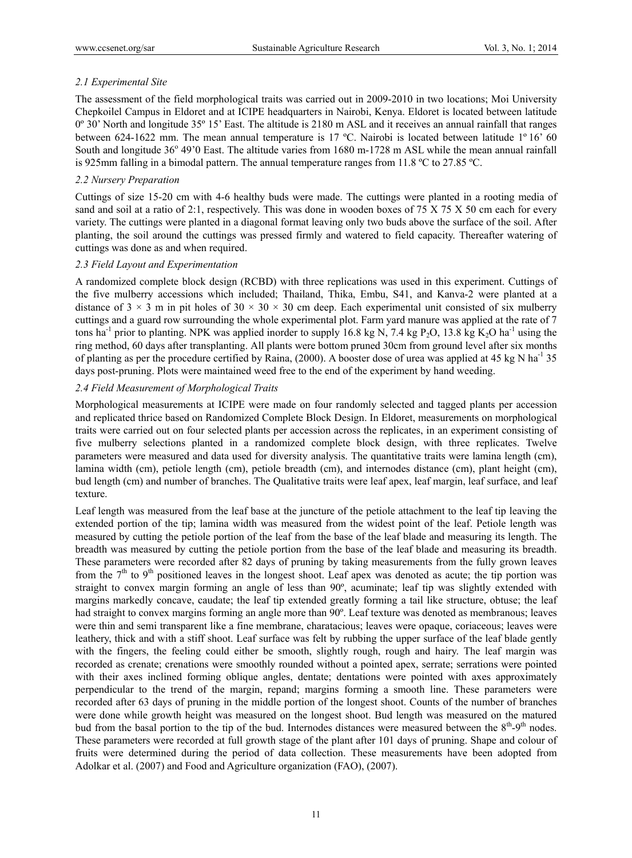# *2.1 Experimental Site*

The assessment of the field morphological traits was carried out in 2009-2010 in two locations; Moi University Chepkoilel Campus in Eldoret and at ICIPE headquarters in Nairobi, Kenya. Eldoret is located between latitude 0º 30' North and longitude 35º 15' East. The altitude is 2180 m ASL and it receives an annual rainfall that ranges between 624-1622 mm. The mean annual temperature is 17 ºC. Nairobi is located between latitude 1º 16' 60 South and longitude 36° 49'0 East. The altitude varies from 1680 m-1728 m ASL while the mean annual rainfall is 925mm falling in a bimodal pattern. The annual temperature ranges from 11.8 ºC to 27.85 ºC.

#### *2.2 Nursery Preparation*

Cuttings of size 15-20 cm with 4-6 healthy buds were made. The cuttings were planted in a rooting media of sand and soil at a ratio of 2:1, respectively. This was done in wooden boxes of 75 X 75 X 50 cm each for every variety. The cuttings were planted in a diagonal format leaving only two buds above the surface of the soil. After planting, the soil around the cuttings was pressed firmly and watered to field capacity. Thereafter watering of cuttings was done as and when required.

#### *2.3 Field Layout and Experimentation*

A randomized complete block design (RCBD) with three replications was used in this experiment. Cuttings of the five mulberry accessions which included; Thailand, Thika, Embu, S41, and Kanva-2 were planted at a distance of  $3 \times 3$  m in pit holes of  $30 \times 30 \times 30$  cm deep. Each experimental unit consisted of six mulberry cuttings and a guard row surrounding the whole experimental plot. Farm yard manure was applied at the rate of 7 tons ha<sup>-1</sup> prior to planting. NPK was applied inorder to supply 16.8 kg N, 7.4 kg P<sub>2</sub>O, 13.8 kg K<sub>2</sub>O ha<sup>-1</sup> using the ring method, 60 days after transplanting. All plants were bottom pruned 30cm from ground level after six months of planting as per the procedure certified by Raina, (2000). A booster dose of urea was applied at 45 kg N ha<sup>-1</sup> 35 days post-pruning. Plots were maintained weed free to the end of the experiment by hand weeding.

## *2.4 Field Measurement of Morphological Traits*

Morphological measurements at ICIPE were made on four randomly selected and tagged plants per accession and replicated thrice based on Randomized Complete Block Design. In Eldoret, measurements on morphological traits were carried out on four selected plants per accession across the replicates, in an experiment consisting of five mulberry selections planted in a randomized complete block design, with three replicates. Twelve parameters were measured and data used for diversity analysis. The quantitative traits were lamina length (cm), lamina width (cm), petiole length (cm), petiole breadth (cm), and internodes distance (cm), plant height (cm), bud length (cm) and number of branches. The Qualitative traits were leaf apex, leaf margin, leaf surface, and leaf texture.

Leaf length was measured from the leaf base at the juncture of the petiole attachment to the leaf tip leaving the extended portion of the tip; lamina width was measured from the widest point of the leaf. Petiole length was measured by cutting the petiole portion of the leaf from the base of the leaf blade and measuring its length. The breadth was measured by cutting the petiole portion from the base of the leaf blade and measuring its breadth. These parameters were recorded after 82 days of pruning by taking measurements from the fully grown leaves from the  $7<sup>th</sup>$  to 9<sup>th</sup> positioned leaves in the longest shoot. Leaf apex was denoted as acute; the tip portion was straight to convex margin forming an angle of less than 90º, acuminate; leaf tip was slightly extended with margins markedly concave, caudate; the leaf tip extended greatly forming a tail like structure, obtuse; the leaf had straight to convex margins forming an angle more than 90º. Leaf texture was denoted as membranous; leaves were thin and semi transparent like a fine membrane, charatacious; leaves were opaque, coriaceous; leaves were leathery, thick and with a stiff shoot. Leaf surface was felt by rubbing the upper surface of the leaf blade gently with the fingers, the feeling could either be smooth, slightly rough, rough and hairy. The leaf margin was recorded as crenate; crenations were smoothly rounded without a pointed apex, serrate; serrations were pointed with their axes inclined forming oblique angles, dentate; dentations were pointed with axes approximately perpendicular to the trend of the margin, repand; margins forming a smooth line. These parameters were recorded after 63 days of pruning in the middle portion of the longest shoot. Counts of the number of branches were done while growth height was measured on the longest shoot. Bud length was measured on the matured bud from the basal portion to the tip of the bud. Internodes distances were measured between the  $8<sup>th</sup>$ -9<sup>th</sup> nodes. These parameters were recorded at full growth stage of the plant after 101 days of pruning. Shape and colour of fruits were determined during the period of data collection. These measurements have been adopted from Adolkar et al. (2007) and Food and Agriculture organization (FAO), (2007).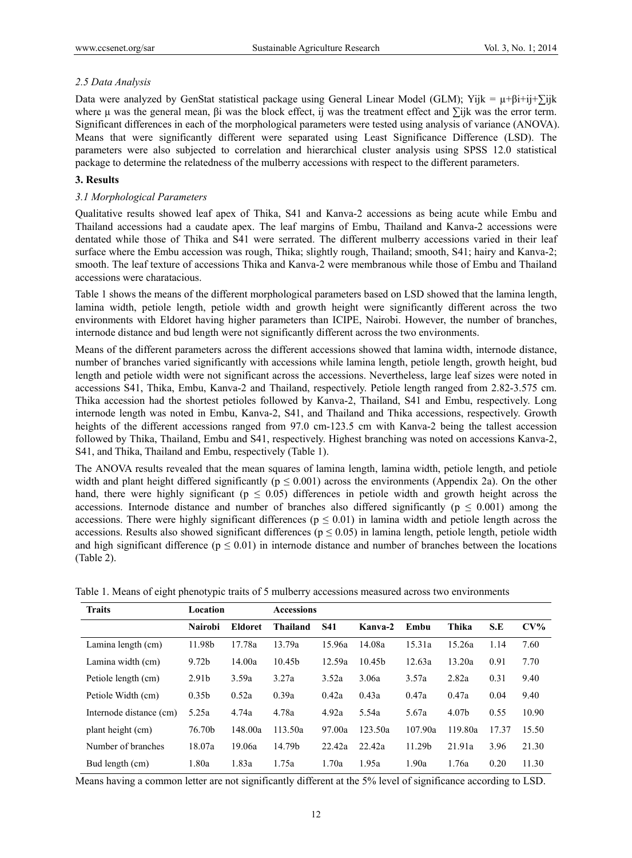## *2.5 Data Analysis*

Data were analyzed by GenStat statistical package using General Linear Model (GLM); Yijk =  $\mu$ + $\beta$ i+ij+ $\sum$ ijk where  $\mu$  was the general mean,  $\beta i$  was the block effect, ij was the treatment effect and  $\sum i$ jk was the error term. Significant differences in each of the morphological parameters were tested using analysis of variance (ANOVA). Means that were significantly different were separated using Least Significance Difference (LSD). The parameters were also subjected to correlation and hierarchical cluster analysis using SPSS 12.0 statistical package to determine the relatedness of the mulberry accessions with respect to the different parameters.

# **3. Results**

## *3.1 Morphological Parameters*

Qualitative results showed leaf apex of Thika, S41 and Kanva-2 accessions as being acute while Embu and Thailand accessions had a caudate apex. The leaf margins of Embu, Thailand and Kanva-2 accessions were dentated while those of Thika and S41 were serrated. The different mulberry accessions varied in their leaf surface where the Embu accession was rough, Thika; slightly rough, Thailand; smooth, S41; hairy and Kanva-2; smooth. The leaf texture of accessions Thika and Kanva-2 were membranous while those of Embu and Thailand accessions were charatacious.

Table 1 shows the means of the different morphological parameters based on LSD showed that the lamina length, lamina width, petiole length, petiole width and growth height were significantly different across the two environments with Eldoret having higher parameters than ICIPE, Nairobi. However, the number of branches, internode distance and bud length were not significantly different across the two environments.

Means of the different parameters across the different accessions showed that lamina width, internode distance, number of branches varied significantly with accessions while lamina length, petiole length, growth height, bud length and petiole width were not significant across the accessions. Nevertheless, large leaf sizes were noted in accessions S41, Thika, Embu, Kanva-2 and Thailand, respectively. Petiole length ranged from 2.82-3.575 cm. Thika accession had the shortest petioles followed by Kanva-2, Thailand, S41 and Embu, respectively. Long internode length was noted in Embu, Kanva-2, S41, and Thailand and Thika accessions, respectively. Growth heights of the different accessions ranged from 97.0 cm-123.5 cm with Kanva-2 being the tallest accession followed by Thika, Thailand, Embu and S41, respectively. Highest branching was noted on accessions Kanva-2, S41, and Thika, Thailand and Embu, respectively (Table 1).

The ANOVA results revealed that the mean squares of lamina length, lamina width, petiole length, and petiole width and plant height differed significantly ( $p \le 0.001$ ) across the environments (Appendix 2a). On the other hand, there were highly significant ( $p \le 0.05$ ) differences in petiole width and growth height across the accessions. Internode distance and number of branches also differed significantly ( $p \le 0.001$ ) among the accessions. There were highly significant differences ( $p \le 0.01$ ) in lamina width and petiole length across the accessions. Results also showed significant differences ( $p \le 0.05$ ) in lamina length, petiole length, petiole width and high significant difference ( $p \le 0.01$ ) in internode distance and number of branches between the locations (Table 2).

| <b>Traits</b>           | Location          |                | <b>Accessions</b> |            |                    |                    |         |       |        |
|-------------------------|-------------------|----------------|-------------------|------------|--------------------|--------------------|---------|-------|--------|
|                         | <b>Nairobi</b>    | <b>Eldoret</b> | <b>Thailand</b>   | <b>S41</b> | Kanva-2            | Embu               | Thika   | S.E   | $CV\%$ |
| Lamina length (cm)      | 11.98b            | 17.78a         | 13.79a            | 15.96a     | 14.08a             | 15.31a             | 15.26a  | 1.14  | 7.60   |
| Lamina width (cm)       | 9.72b             | 14.00a         | 10.45b            | 12.59a     | 10.45 <sub>b</sub> | 12.63a             | 13.20a  | 0.91  | 7.70   |
| Petiole length (cm)     | 2.91b             | 3.59a          | 3.27a             | 3.52a      | 3.06a              | 3.57a              | 2.82a   | 0.31  | 9.40   |
| Petiole Width (cm)      | 0.35 <sub>b</sub> | 0.52a          | 0.39a             | 0.42a      | 0.43a              | 0.47a              | 0.47a   | 0.04  | 9.40   |
| Internode distance (cm) | 5.25a             | 4.74a          | 4.78a             | 4.92a      | 5.54a              | 5.67a              | 4.07b   | 0.55  | 10.90  |
| plant height (cm)       | 76.70b            | 148.00a        | 113.50a           | 97.00a     | 123.50a            | 107.90a            | 119.80a | 17.37 | 15.50  |
| Number of branches      | 18.07a            | 19.06a         | 14.79b            | 22.42a     | 22.42a             | 11.29 <sub>b</sub> | 21.91a  | 3.96  | 21.30  |
| Bud length (cm)         | 1.80a             | 1.83a          | 1.75a             | 1.70a      | 1.95a              | 1.90a              | 1.76a   | 0.20  | 11.30  |

Table 1. Means of eight phenotypic traits of 5 mulberry accessions measured across two environments

Means having a common letter are not significantly different at the 5% level of significance according to LSD.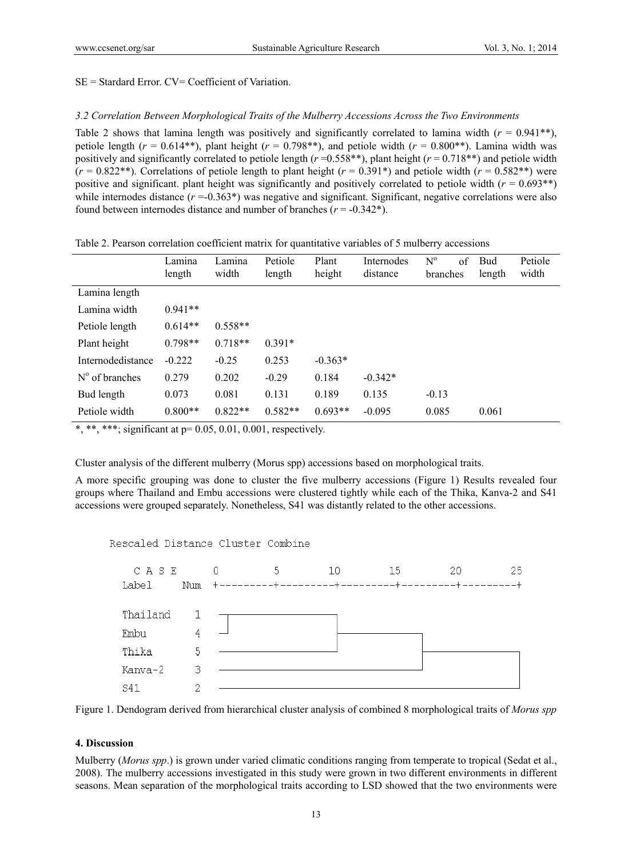#### $SE = Standard Error$ .  $CV = Coefficient of Variation$ .

#### *3.2 Correlation Between Morphological Traits of the Mulberry Accessions Across the Two Environments*

Table 2 shows that lamina length was positively and significantly correlated to lamina width  $(r = 0.941**)$ , petiole length ( $r = 0.614**$ ), plant height ( $r = 0.798**$ ), and petiole width ( $r = 0.800**$ ). Lamina width was positively and significantly correlated to petiole length  $(r=0.558**)$ , plant height  $(r=0.718**)$  and petiole width  $(r = 0.822^{**})$ . Correlations of petiole length to plant height  $(r = 0.391^*)$  and petiole width  $(r = 0.582^{**})$  were positive and significant. plant height was significantly and positively correlated to petiole width  $(r = 0.693**)$ while internodes distance ( $r = -0.363^*$ ) was negative and significant. Significant, negative correlations were also found between internodes distance and number of branches  $(r = -0.342^*)$ .

|                         | Lamina<br>length | Lamina<br>width | Petiole<br>length | Plant<br>height | Internodes<br>distance | $N^{\rm o}$<br>of<br>branches | Bud<br>length | Petiole<br>width |
|-------------------------|------------------|-----------------|-------------------|-----------------|------------------------|-------------------------------|---------------|------------------|
| Lamina length           |                  |                 |                   |                 |                        |                               |               |                  |
| Lamina width            | $0.941**$        |                 |                   |                 |                        |                               |               |                  |
| Petiole length          | $0.614**$        | $0.558**$       |                   |                 |                        |                               |               |                  |
| Plant height            | $0.798**$        | $0.718**$       | $0.391*$          |                 |                        |                               |               |                  |
| Internodedistance       | $-0.222$         | $-0.25$         | 0.253             | $-0.363*$       |                        |                               |               |                  |
| $N^{\circ}$ of branches | 0.279            | 0.202           | $-0.29$           | 0.184           | $-0.342*$              |                               |               |                  |
| Bud length              | 0.073            | 0.081           | 0.131             | 0.189           | 0.135                  | $-0.13$                       |               |                  |
| Petiole width           | $0.800**$        | $0.822**$       | $0.582**$         | $0.693**$       | $-0.095$               | 0.085                         | 0.061         |                  |

Table 2. Pearson correlation coefficient matrix for quantitative variables of 5 mulberry accessions

\*, \*\*\*, \*\*\*; significant at  $p = 0.05, 0.01, 0.001$ , respectively.

Cluster analysis of the different mulberry (Morus spp) accessions based on morphological traits.

A more specific grouping was done to cluster the five mulberry accessions (Figure 1) Results revealed four groups where Thailand and Embu accessions were clustered tightly while each of the Thika, Kanva-2 and S41 accessions were grouped separately. Nonetheless, S41 was distantly related to the other accessions.

Rescaled Distance Cluster Combine



Figure 1. Dendogram derived from hierarchical cluster analysis of combined 8 morphological traits of *Morus spp*

#### **4. Discussion**

Mulberry (*Morus spp*.) is grown under varied climatic conditions ranging from temperate to tropical (Sedat et al., 2008). The mulberry accessions investigated in this study were grown in two different environments in different seasons. Mean separation of the morphological traits according to LSD showed that the two environments were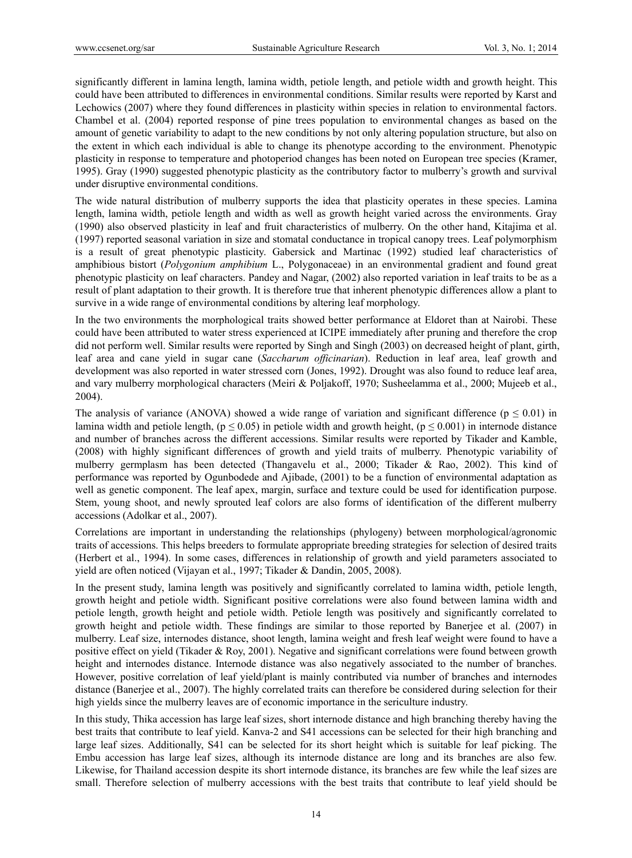significantly different in lamina length, lamina width, petiole length, and petiole width and growth height. This could have been attributed to differences in environmental conditions. Similar results were reported by Karst and Lechowics (2007) where they found differences in plasticity within species in relation to environmental factors. Chambel et al. (2004) reported response of pine trees population to environmental changes as based on the amount of genetic variability to adapt to the new conditions by not only altering population structure, but also on the extent in which each individual is able to change its phenotype according to the environment. Phenotypic plasticity in response to temperature and photoperiod changes has been noted on European tree species (Kramer, 1995). Gray (1990) suggested phenotypic plasticity as the contributory factor to mulberry's growth and survival under disruptive environmental conditions.

The wide natural distribution of mulberry supports the idea that plasticity operates in these species. Lamina length, lamina width, petiole length and width as well as growth height varied across the environments. Gray (1990) also observed plasticity in leaf and fruit characteristics of mulberry. On the other hand, Kitajima et al. (1997) reported seasonal variation in size and stomatal conductance in tropical canopy trees. Leaf polymorphism is a result of great phenotypic plasticity. Gabersick and Martinac (1992) studied leaf characteristics of amphibious bistort (*Polygonium amphibium* L., Polygonaceae) in an environmental gradient and found great phenotypic plasticity on leaf characters. Pandey and Nagar, (2002) also reported variation in leaf traits to be as a result of plant adaptation to their growth. It is therefore true that inherent phenotypic differences allow a plant to survive in a wide range of environmental conditions by altering leaf morphology.

In the two environments the morphological traits showed better performance at Eldoret than at Nairobi. These could have been attributed to water stress experienced at ICIPE immediately after pruning and therefore the crop did not perform well. Similar results were reported by Singh and Singh (2003) on decreased height of plant, girth, leaf area and cane yield in sugar cane (*Saccharum officinarian*). Reduction in leaf area, leaf growth and development was also reported in water stressed corn (Jones, 1992). Drought was also found to reduce leaf area, and vary mulberry morphological characters (Meiri & Poljakoff, 1970; Susheelamma et al., 2000; Mujeeb et al., 2004).

The analysis of variance (ANOVA) showed a wide range of variation and significant difference ( $p \le 0.01$ ) in lamina width and petiole length, ( $p \le 0.05$ ) in petiole width and growth height, ( $p \le 0.001$ ) in internode distance and number of branches across the different accessions. Similar results were reported by Tikader and Kamble, (2008) with highly significant differences of growth and yield traits of mulberry. Phenotypic variability of mulberry germplasm has been detected (Thangavelu et al., 2000; Tikader & Rao, 2002). This kind of performance was reported by Ogunbodede and Ajibade, (2001) to be a function of environmental adaptation as well as genetic component. The leaf apex, margin, surface and texture could be used for identification purpose. Stem, young shoot, and newly sprouted leaf colors are also forms of identification of the different mulberry accessions (Adolkar et al., 2007).

Correlations are important in understanding the relationships (phylogeny) between morphological/agronomic traits of accessions. This helps breeders to formulate appropriate breeding strategies for selection of desired traits (Herbert et al., 1994). In some cases, differences in relationship of growth and yield parameters associated to yield are often noticed (Vijayan et al., 1997; Tikader & Dandin, 2005, 2008).

In the present study, lamina length was positively and significantly correlated to lamina width, petiole length, growth height and petiole width. Significant positive correlations were also found between lamina width and petiole length, growth height and petiole width. Petiole length was positively and significantly correlated to growth height and petiole width. These findings are similar to those reported by Banerjee et al. (2007) in mulberry. Leaf size, internodes distance, shoot length, lamina weight and fresh leaf weight were found to have a positive effect on yield (Tikader & Roy, 2001). Negative and significant correlations were found between growth height and internodes distance. Internode distance was also negatively associated to the number of branches. However, positive correlation of leaf yield/plant is mainly contributed via number of branches and internodes distance (Banerjee et al., 2007). The highly correlated traits can therefore be considered during selection for their high yields since the mulberry leaves are of economic importance in the sericulture industry.

In this study, Thika accession has large leaf sizes, short internode distance and high branching thereby having the best traits that contribute to leaf yield. Kanva-2 and S41 accessions can be selected for their high branching and large leaf sizes. Additionally, S41 can be selected for its short height which is suitable for leaf picking. The Embu accession has large leaf sizes, although its internode distance are long and its branches are also few. Likewise, for Thailand accession despite its short internode distance, its branches are few while the leaf sizes are small. Therefore selection of mulberry accessions with the best traits that contribute to leaf yield should be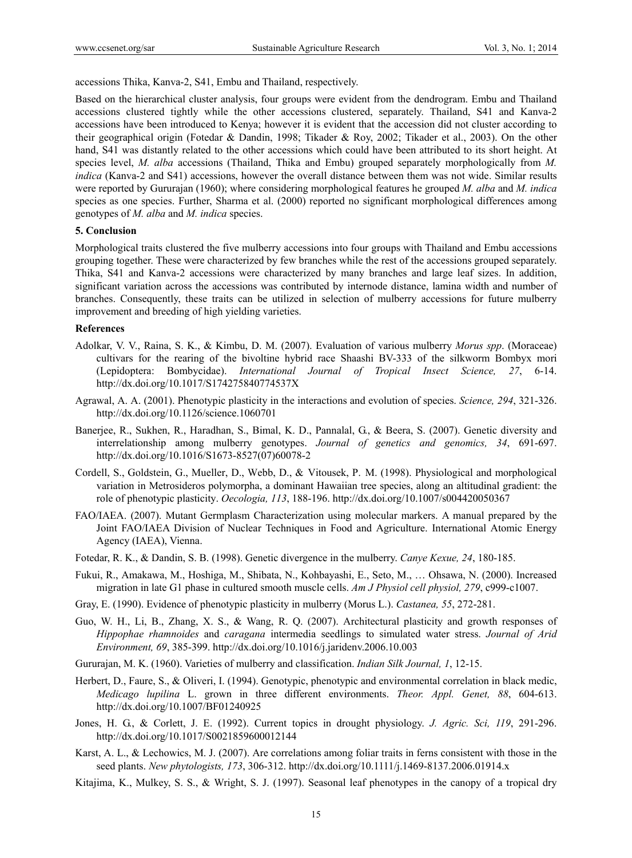accessions Thika, Kanva-2, S41, Embu and Thailand, respectively.

Based on the hierarchical cluster analysis, four groups were evident from the dendrogram. Embu and Thailand accessions clustered tightly while the other accessions clustered, separately. Thailand, S41 and Kanva-2 accessions have been introduced to Kenya; however it is evident that the accession did not cluster according to their geographical origin (Fotedar & Dandin, 1998; Tikader & Roy, 2002; Tikader et al., 2003). On the other hand, S41 was distantly related to the other accessions which could have been attributed to its short height. At species level, *M. alba* accessions (Thailand, Thika and Embu) grouped separately morphologically from *M*. *indica* (Kanva-2 and S41) accessions, however the overall distance between them was not wide. Similar results were reported by Gururajan (1960); where considering morphological features he grouped *M. alba* and *M. indica* species as one species. Further, Sharma et al. (2000) reported no significant morphological differences among genotypes of *M. alba* and *M. indica* species.

# **5. Conclusion**

Morphological traits clustered the five mulberry accessions into four groups with Thailand and Embu accessions grouping together. These were characterized by few branches while the rest of the accessions grouped separately. Thika, S41 and Kanva-2 accessions were characterized by many branches and large leaf sizes. In addition, significant variation across the accessions was contributed by internode distance, lamina width and number of branches. Consequently, these traits can be utilized in selection of mulberry accessions for future mulberry improvement and breeding of high yielding varieties.

#### **References**

- Adolkar, V. V., Raina, S. K., & Kimbu, D. M. (2007). Evaluation of various mulberry *Morus spp*. (Moraceae) cultivars for the rearing of the bivoltine hybrid race Shaashi BV-333 of the silkworm Bombyx mori (Lepidoptera: Bombycidae). *International Journal of Tropical Insect Science, 27*, 6-14. http://dx.doi.org/10.1017/S174275840774537X
- Agrawal, A. A. (2001). Phenotypic plasticity in the interactions and evolution of species. *Science, 294*, 321-326. http://dx.doi.org/10.1126/science.1060701
- Banerjee, R., Sukhen, R., Haradhan, S., Bimal, K. D., Pannalal, G., & Beera, S. (2007). Genetic diversity and interrelationship among mulberry genotypes. *Journal of genetics and genomics, 34*, 691-697. http://dx.doi.org/10.1016/S1673-8527(07)60078-2
- Cordell, S., Goldstein, G., Mueller, D., Webb, D., & Vitousek, P. M. (1998). Physiological and morphological variation in Metrosideros polymorpha, a dominant Hawaiian tree species, along an altitudinal gradient: the role of phenotypic plasticity. *Oecologia, 113*, 188-196. http://dx.doi.org/10.1007/s004420050367
- FAO/IAEA. (2007). Mutant Germplasm Characterization using molecular markers. A manual prepared by the Joint FAO/IAEA Division of Nuclear Techniques in Food and Agriculture. International Atomic Energy Agency (IAEA), Vienna.
- Fotedar, R. K., & Dandin, S. B. (1998). Genetic divergence in the mulberry. *Canye Kexue, 24*, 180-185.
- Fukui, R., Amakawa, M., Hoshiga, M., Shibata, N., Kohbayashi, E., Seto, M., … Ohsawa, N. (2000). Increased migration in late G1 phase in cultured smooth muscle cells. *Am J Physiol cell physiol, 279*, c999-c1007.
- Gray, E. (1990). Evidence of phenotypic plasticity in mulberry (Morus L.). *Castanea, 55*, 272-281.
- Guo, W. H., Li, B., Zhang, X. S., & Wang, R. Q. (2007). Architectural plasticity and growth responses of *Hippophae rhamnoides* and *caragana* intermedia seedlings to simulated water stress. *Journal of Arid Environment, 69*, 385-399. http://dx.doi.org/10.1016/j.jaridenv.2006.10.003
- Gururajan, M. K. (1960). Varieties of mulberry and classification. *Indian Silk Journal, 1*, 12-15.
- Herbert, D., Faure, S., & Oliveri, I. (1994). Genotypic, phenotypic and environmental correlation in black medic, *Medicago lupilina* L. grown in three different environments. *Theor. Appl. Genet, 88*, 604-613. http://dx.doi.org/10.1007/BF01240925
- Jones, H. G., & Corlett, J. E. (1992). Current topics in drought physiology. *J. Agric. Sci, 119*, 291-296. http://dx.doi.org/10.1017/S0021859600012144
- Karst, A. L., & Lechowics, M. J. (2007). Are correlations among foliar traits in ferns consistent with those in the seed plants. *New phytologists, 173*, 306-312. http://dx.doi.org/10.1111/j.1469-8137.2006.01914.x
- Kitajima, K., Mulkey, S. S., & Wright, S. J. (1997). Seasonal leaf phenotypes in the canopy of a tropical dry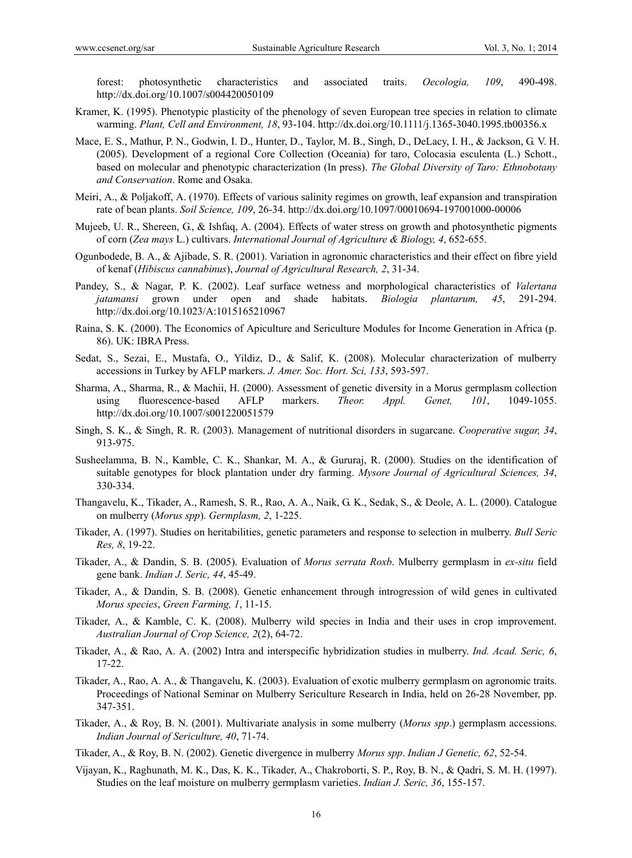forest: photosynthetic characteristics and associated traits. *Oecologia, 109*, 490-498. http://dx.doi.org/10.1007/s004420050109

- Kramer, K. (1995). Phenotypic plasticity of the phenology of seven European tree species in relation to climate warming. *Plant, Cell and Environment, 18*, 93-104. http://dx.doi.org/10.1111/j.1365-3040.1995.tb00356.x
- Mace, E. S., Mathur, P. N., Godwin, I. D., Hunter, D., Taylor, M. B., Singh, D., DeLacy, I. H., & Jackson, G. V. H. (2005). Development of a regional Core Collection (Oceania) for taro, Colocasia esculenta (L.) Schott., based on molecular and phenotypic characterization (In press). *The Global Diversity of Taro: Ethnobotany and Conservation*. Rome and Osaka.
- Meiri, A., & Poljakoff, A. (1970). Effects of various salinity regimes on growth, leaf expansion and transpiration rate of bean plants. *Soil Science, 109*, 26-34. http://dx.doi.org/10.1097/00010694-197001000-00006
- Mujeeb, U. R., Shereen, G., & Ishfaq, A. (2004). Effects of water stress on growth and photosynthetic pigments of corn (*Zea mays* L.) cultivars. *International Journal of Agriculture & Biology, 4*, 652-655.
- Ogunbodede, B. A., & Ajibade, S. R. (2001). Variation in agronomic characteristics and their effect on fibre yield of kenaf (*Hibiscus cannabinus*), *Journal of Agricultural Research, 2*, 31-34.
- Pandey, S., & Nagar, P. K. (2002). Leaf surface wetness and morphological characteristics of *Valertana jatamansi* grown under open and shade habitats. *Biologia plantarum, 45*, 291-294. http://dx.doi.org/10.1023/A:1015165210967
- Raina, S. K. (2000). The Economics of Apiculture and Sericulture Modules for Income Generation in Africa (p. 86). UK: IBRA Press.
- Sedat, S., Sezai, E., Mustafa, O., Yildiz, D., & Salif, K. (2008). Molecular characterization of mulberry accessions in Turkey by AFLP markers. *J. Amer. Soc. Hort. Sci, 133*, 593-597.
- Sharma, A., Sharma, R., & Machii, H. (2000). Assessment of genetic diversity in a Morus germplasm collection using fluorescence-based AFLP markers. *Theor. Appl. Genet, 101*, 1049-1055. http://dx.doi.org/10.1007/s001220051579
- Singh, S. K., & Singh, R. R. (2003). Management of nutritional disorders in sugarcane. *Cooperative sugar, 34*, 913-975.
- Susheelamma, B. N., Kamble, C. K., Shankar, M. A., & Gururaj, R. (2000). Studies on the identification of suitable genotypes for block plantation under dry farming. *Mysore Journal of Agricultural Sciences, 34*, 330-334.
- Thangavelu, K., Tikader, A., Ramesh, S. R., Rao, A. A., Naik, G. K., Sedak, S., & Deole, A. L. (2000). Catalogue on mulberry (*Morus spp*). *Germplasm, 2*, 1-225.
- Tikader, A. (1997). Studies on heritabilities, genetic parameters and response to selection in mulberry. *Bull Seric Res, 8*, 19-22.
- Tikader, A., & Dandin, S. B. (2005). Evaluation of *Morus serrata Roxb*. Mulberry germplasm in *ex-situ* field gene bank. *Indian J. Seric, 44*, 45-49.
- Tikader, A., & Dandin, S. B. (2008). Genetic enhancement through introgression of wild genes in cultivated *Morus species*, *Green Farming, 1*, 11-15.
- Tikader, A., & Kamble, C. K. (2008). Mulberry wild species in India and their uses in crop improvement. *Australian Journal of Crop Science, 2*(2), 64-72.
- Tikader, A., & Rao, A. A. (2002) Intra and interspecific hybridization studies in mulberry. *Ind. Acad. Seric, 6*, 17-22.
- Tikader, A., Rao, A. A., & Thangavelu, K. (2003). Evaluation of exotic mulberry germplasm on agronomic traits. Proceedings of National Seminar on Mulberry Sericulture Research in India, held on 26-28 November, pp. 347-351.
- Tikader, A., & Roy, B. N. (2001). Multivariate analysis in some mulberry (*Morus spp*.) germplasm accessions. *Indian Journal of Sericulture, 40*, 71-74.
- Tikader, A., & Roy, B. N. (2002). Genetic divergence in mulberry *Morus spp*. *Indian J Genetic, 62*, 52-54.
- Vijayan, K., Raghunath, M. K., Das, K. K., Tikader, A., Chakroborti, S. P., Roy, B. N., & Qadri, S. M. H. (1997). Studies on the leaf moisture on mulberry germplasm varieties. *Indian J. Seric, 36*, 155-157.